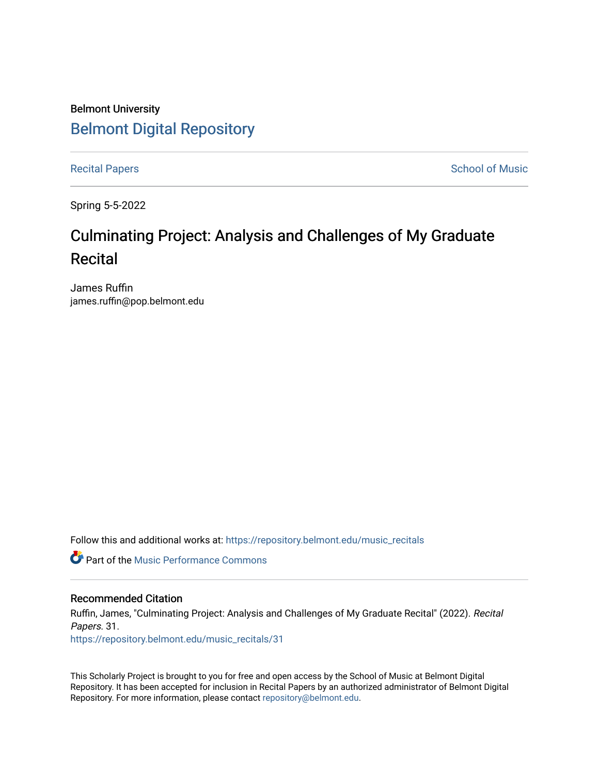# Belmont University [Belmont Digital Repository](https://repository.belmont.edu/)

[Recital Papers](https://repository.belmont.edu/music_recitals) **School of Music** 

Spring 5-5-2022

# Culminating Project: Analysis and Challenges of My Graduate **Recital**

James Ruffin james.ruffin@pop.belmont.edu

Follow this and additional works at: [https://repository.belmont.edu/music\\_recitals](https://repository.belmont.edu/music_recitals?utm_source=repository.belmont.edu%2Fmusic_recitals%2F31&utm_medium=PDF&utm_campaign=PDFCoverPages) 

**C** Part of the [Music Performance Commons](http://network.bepress.com/hgg/discipline/1128?utm_source=repository.belmont.edu%2Fmusic_recitals%2F31&utm_medium=PDF&utm_campaign=PDFCoverPages)

## Recommended Citation

Ruffin, James, "Culminating Project: Analysis and Challenges of My Graduate Recital" (2022). Recital Papers. 31.

[https://repository.belmont.edu/music\\_recitals/31](https://repository.belmont.edu/music_recitals/31?utm_source=repository.belmont.edu%2Fmusic_recitals%2F31&utm_medium=PDF&utm_campaign=PDFCoverPages)

This Scholarly Project is brought to you for free and open access by the School of Music at Belmont Digital Repository. It has been accepted for inclusion in Recital Papers by an authorized administrator of Belmont Digital Repository. For more information, please contact [repository@belmont.edu.](mailto:repository@belmont.edu)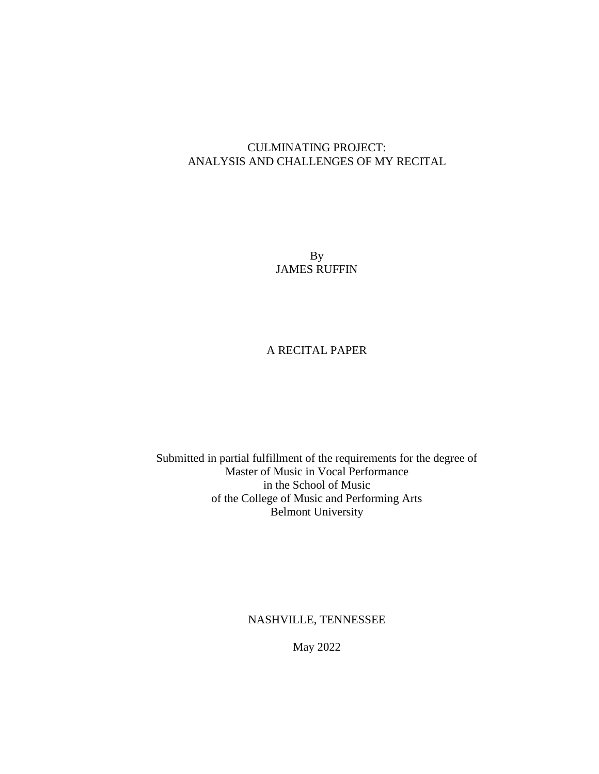# CULMINATING PROJECT: ANALYSIS AND CHALLENGES OF MY RECITAL

By JAMES RUFFIN

# A RECITAL PAPER

Submitted in partial fulfillment of the requirements for the degree of Master of Music in Vocal Performance in the School of Music of the College of Music and Performing Arts Belmont University

NASHVILLE, TENNESSEE

May 2022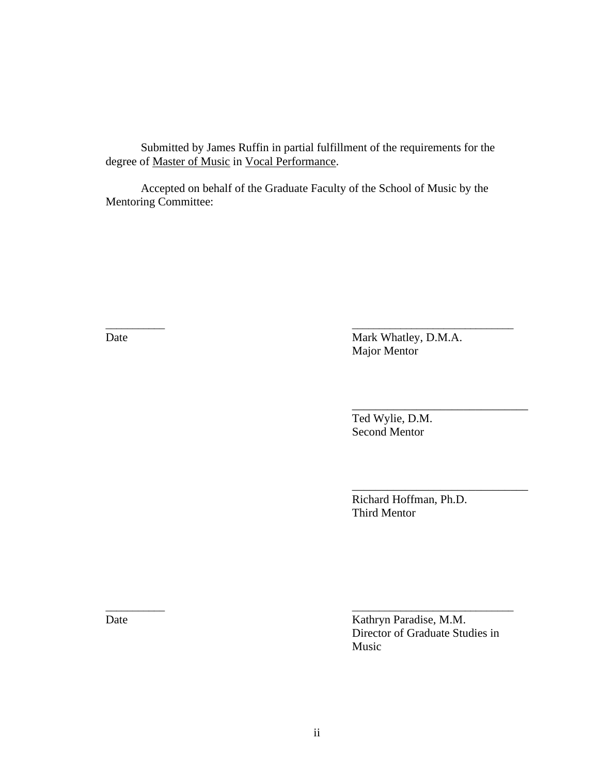Submitted by James Ruffin in partial fulfillment of the requirements for the degree of Master of Music in Vocal Performance.

Accepted on behalf of the Graduate Faculty of the School of Music by the Mentoring Committee:

 $\frac{1}{2}$  , and the contract of the contract of the contract of the contract of the contract of the contract of the contract of the contract of the contract of the contract of the contract of the contract of the contract

Date Mark Whatley, D.M.A. Major Mentor

> Ted Wylie, D.M. Second Mentor

 Richard Hoffman, Ph.D. Third Mentor

\_\_\_\_\_\_\_\_\_\_\_\_\_\_\_\_\_\_\_\_\_\_\_\_\_\_\_\_\_\_

\_\_\_\_\_\_\_\_\_\_\_\_\_\_\_\_\_\_\_\_\_\_\_\_\_\_\_\_\_\_

Date Kathryn Paradise, M.M. Director of Graduate Studies in Music

 $\frac{1}{2}$  , and the contract of the contract of the contract of the contract of the contract of the contract of the contract of the contract of the contract of the contract of the contract of the contract of the contract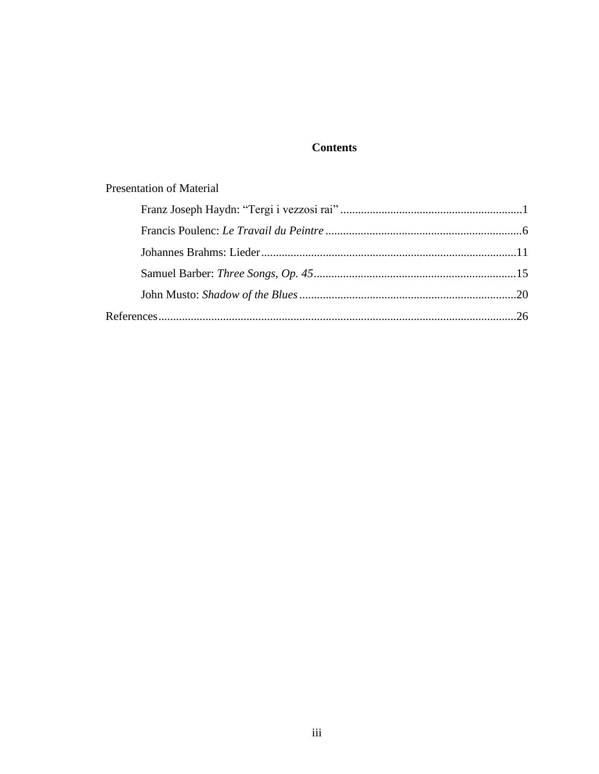# **Contents**

# **Presentation of Material**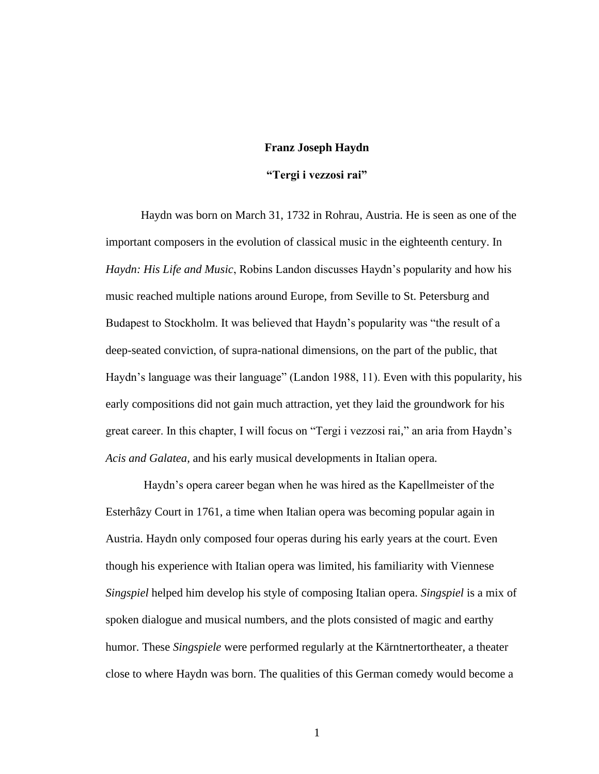#### **Franz Joseph Haydn**

# **"Tergi i vezzosi rai"**

Haydn was born on March 31, 1732 in Rohrau, Austria. He is seen as one of the important composers in the evolution of classical music in the eighteenth century. In *Haydn: His Life and Music*, Robins Landon discusses Haydn's popularity and how his music reached multiple nations around Europe, from Seville to St. Petersburg and Budapest to Stockholm. It was believed that Haydn's popularity was "the result of a deep-seated conviction, of supra-national dimensions, on the part of the public, that Haydn's language was their language" (Landon 1988, 11). Even with this popularity, his early compositions did not gain much attraction, yet they laid the groundwork for his great career. In this chapter, I will focus on "Tergi i vezzosi rai," an aria from Haydn's *Acis and Galatea,* and his early musical developments in Italian opera.

Haydn's opera career began when he was hired as the Kapellmeister of the Esterhâzy Court in 1761, a time when Italian opera was becoming popular again in Austria. Haydn only composed four operas during his early years at the court. Even though his experience with Italian opera was limited, his familiarity with Viennese *Singspiel* helped him develop his style of composing Italian opera. *Singspiel* is a mix of spoken dialogue and musical numbers, and the plots consisted of magic and earthy humor. These *Singspiele* were performed regularly at the Kärntnertortheater, a theater close to where Haydn was born. The qualities of this German comedy would become a

1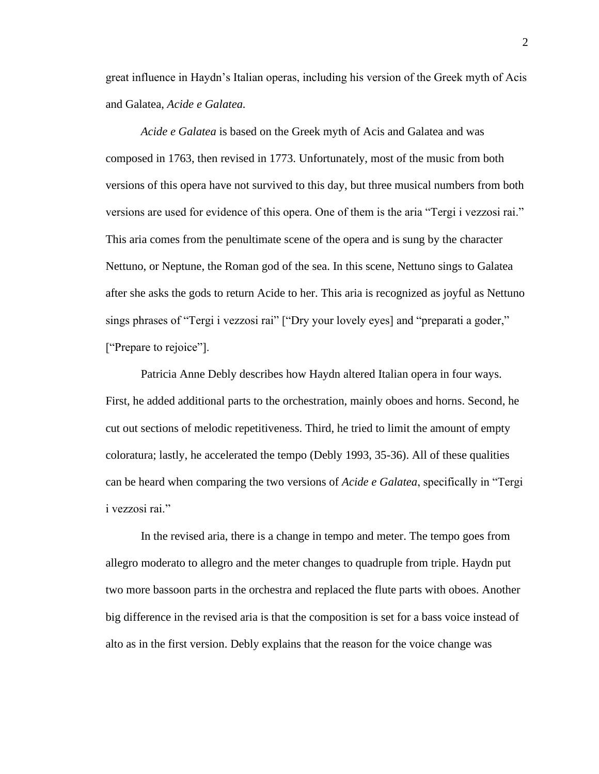great influence in Haydn's Italian operas, including his version of the Greek myth of Acis and Galatea, *Acide e Galatea.*

*Acide e Galatea* is based on the Greek myth of Acis and Galatea and was composed in 1763, then revised in 1773. Unfortunately, most of the music from both versions of this opera have not survived to this day, but three musical numbers from both versions are used for evidence of this opera. One of them is the aria "Tergi i vezzosi rai." This aria comes from the penultimate scene of the opera and is sung by the character Nettuno, or Neptune, the Roman god of the sea. In this scene, Nettuno sings to Galatea after she asks the gods to return Acide to her. This aria is recognized as joyful as Nettuno sings phrases of "Tergi i vezzosi rai" ["Dry your lovely eyes] and "preparati a goder," ["Prepare to rejoice"].

Patricia Anne Debly describes how Haydn altered Italian opera in four ways. First, he added additional parts to the orchestration, mainly oboes and horns. Second, he cut out sections of melodic repetitiveness. Third, he tried to limit the amount of empty coloratura; lastly, he accelerated the tempo (Debly 1993, 35-36). All of these qualities can be heard when comparing the two versions of *Acide e Galatea*, specifically in "Tergi i vezzosi rai."

In the revised aria, there is a change in tempo and meter. The tempo goes from allegro moderato to allegro and the meter changes to quadruple from triple. Haydn put two more bassoon parts in the orchestra and replaced the flute parts with oboes. Another big difference in the revised aria is that the composition is set for a bass voice instead of alto as in the first version. Debly explains that the reason for the voice change was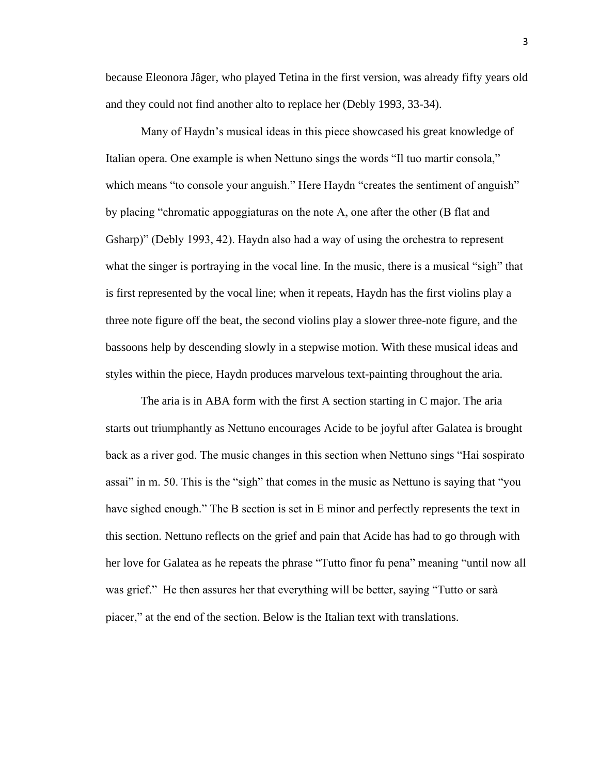because Eleonora Jâger, who played Tetina in the first version, was already fifty years old and they could not find another alto to replace her (Debly 1993, 33-34).

Many of Haydn's musical ideas in this piece showcased his great knowledge of Italian opera. One example is when Nettuno sings the words "Il tuo martir consola," which means "to console your anguish." Here Haydn "creates the sentiment of anguish" by placing "chromatic appoggiaturas on the note A, one after the other (B flat and Gsharp)" (Debly 1993, 42). Haydn also had a way of using the orchestra to represent what the singer is portraying in the vocal line. In the music, there is a musical "sigh" that is first represented by the vocal line; when it repeats, Haydn has the first violins play a three note figure off the beat, the second violins play a slower three-note figure, and the bassoons help by descending slowly in a stepwise motion. With these musical ideas and styles within the piece, Haydn produces marvelous text-painting throughout the aria.

The aria is in ABA form with the first A section starting in C major. The aria starts out triumphantly as Nettuno encourages Acide to be joyful after Galatea is brought back as a river god. The music changes in this section when Nettuno sings "Hai sospirato assai" in m. 50. This is the "sigh" that comes in the music as Nettuno is saying that "you have sighed enough." The B section is set in E minor and perfectly represents the text in this section. Nettuno reflects on the grief and pain that Acide has had to go through with her love for Galatea as he repeats the phrase "Tutto finor fu pena" meaning "until now all was grief." He then assures her that everything will be better, saying "Tutto or sarà piacer," at the end of the section. Below is the Italian text with translations.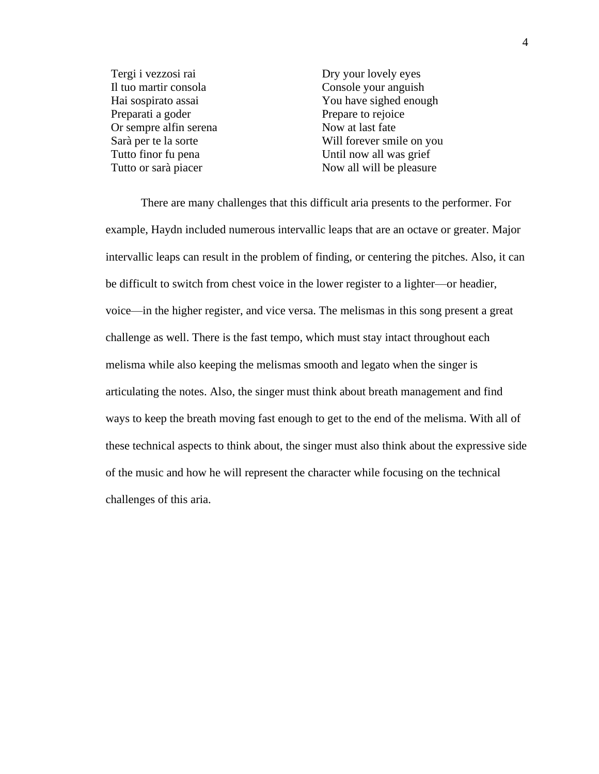Tergi i vezzosi rai Il tuo martir consola Hai sospirato assai Preparati a goder Or sempre alfin serena Sarà per te la sorte Tutto finor fu pena Tutto or sarà piacer

Dry your lovely eyes Console your anguish You have sighed enough Prepare to rejoice Now at last fate Will forever smile on you Until now all was grief Now all will be pleasure

There are many challenges that this difficult aria presents to the performer. For example, Haydn included numerous intervallic leaps that are an octave or greater. Major intervallic leaps can result in the problem of finding, or centering the pitches. Also, it can be difficult to switch from chest voice in the lower register to a lighter—or headier, voice—in the higher register, and vice versa. The melismas in this song present a great challenge as well. There is the fast tempo, which must stay intact throughout each melisma while also keeping the melismas smooth and legato when the singer is articulating the notes. Also, the singer must think about breath management and find ways to keep the breath moving fast enough to get to the end of the melisma. With all of these technical aspects to think about, the singer must also think about the expressive side of the music and how he will represent the character while focusing on the technical challenges of this aria.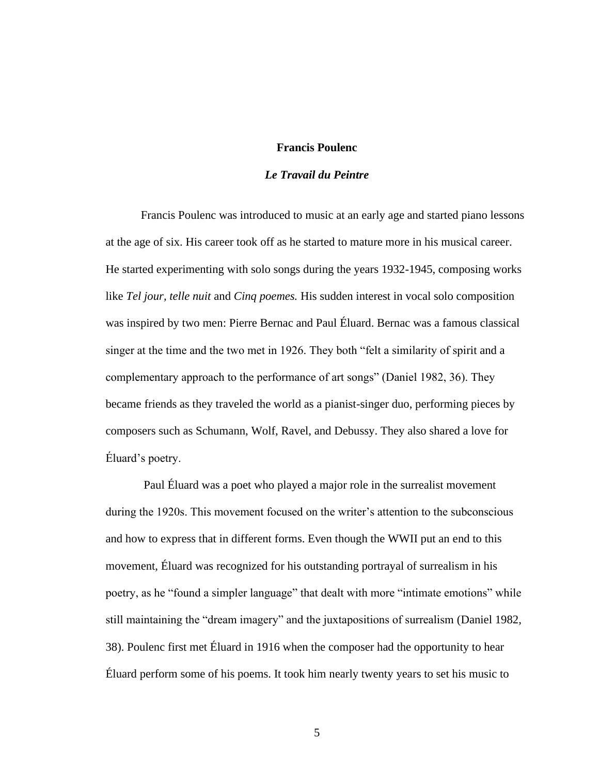# **Francis Poulenc**

# *Le Travail du Peintre*

Francis Poulenc was introduced to music at an early age and started piano lessons at the age of six. His career took off as he started to mature more in his musical career. He started experimenting with solo songs during the years 1932-1945, composing works like *Tel jour, telle nuit* and *Cinq poemes.* His sudden interest in vocal solo composition was inspired by two men: Pierre Bernac and Paul Éluard. Bernac was a famous classical singer at the time and the two met in 1926. They both "felt a similarity of spirit and a complementary approach to the performance of art songs" (Daniel 1982, 36). They became friends as they traveled the world as a pianist-singer duo, performing pieces by composers such as Schumann, Wolf, Ravel, and Debussy. They also shared a love for Éluard's poetry.

Paul Éluard was a poet who played a major role in the surrealist movement during the 1920s. This movement focused on the writer's attention to the subconscious and how to express that in different forms. Even though the WWII put an end to this movement, Éluard was recognized for his outstanding portrayal of surrealism in his poetry, as he "found a simpler language" that dealt with more "intimate emotions" while still maintaining the "dream imagery" and the juxtapositions of surrealism (Daniel 1982, 38). Poulenc first met Éluard in 1916 when the composer had the opportunity to hear Éluard perform some of his poems. It took him nearly twenty years to set his music to

5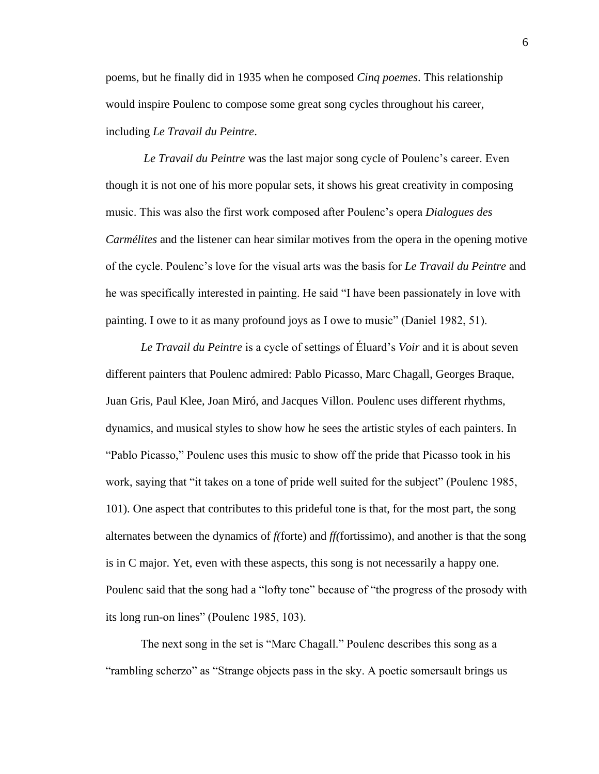poems, but he finally did in 1935 when he composed *Cinq poemes*. This relationship would inspire Poulenc to compose some great song cycles throughout his career, including *Le Travail du Peintre*.

*Le Travail du Peintre* was the last major song cycle of Poulenc's career. Even though it is not one of his more popular sets, it shows his great creativity in composing music. This was also the first work composed after Poulenc's opera *Dialogues des Carmélites* and the listener can hear similar motives from the opera in the opening motive of the cycle. Poulenc's love for the visual arts was the basis for *Le Travail du Peintre* and he was specifically interested in painting. He said "I have been passionately in love with painting. I owe to it as many profound joys as I owe to music" (Daniel 1982, 51).

*Le Travail du Peintre* is a cycle of settings of Éluard's *Voir* and it is about seven different painters that Poulenc admired: Pablo Picasso, Marc Chagall, Georges Braque, Juan Gris, Paul Klee, Joan Miró, and Jacques Villon. Poulenc uses different rhythms, dynamics, and musical styles to show how he sees the artistic styles of each painters. In "Pablo Picasso," Poulenc uses this music to show off the pride that Picasso took in his work, saying that "it takes on a tone of pride well suited for the subject" (Poulenc 1985, 101). One aspect that contributes to this prideful tone is that, for the most part, the song alternates between the dynamics of *f(*forte) and *ff(*fortissimo), and another is that the song is in C major. Yet, even with these aspects, this song is not necessarily a happy one. Poulenc said that the song had a "lofty tone" because of "the progress of the prosody with its long run-on lines" (Poulenc 1985, 103).

The next song in the set is "Marc Chagall." Poulenc describes this song as a "rambling scherzo" as "Strange objects pass in the sky. A poetic somersault brings us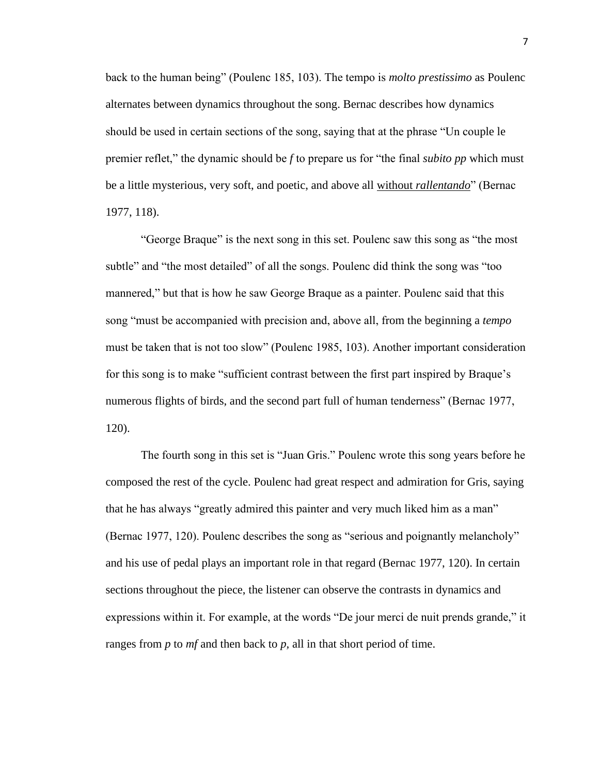back to the human being" (Poulenc 185, 103). The tempo is *molto prestissimo* as Poulenc alternates between dynamics throughout the song. Bernac describes how dynamics should be used in certain sections of the song, saying that at the phrase "Un couple le premier reflet," the dynamic should be *f* to prepare us for "the final *subito pp* which must be a little mysterious, very soft, and poetic, and above all without *rallentando*" (Bernac 1977, 118).

"George Braque" is the next song in this set. Poulenc saw this song as "the most subtle" and "the most detailed" of all the songs. Poulenc did think the song was "too mannered," but that is how he saw George Braque as a painter. Poulenc said that this song "must be accompanied with precision and, above all, from the beginning a *tempo*  must be taken that is not too slow" (Poulenc 1985, 103). Another important consideration for this song is to make "sufficient contrast between the first part inspired by Braque's numerous flights of birds, and the second part full of human tenderness" (Bernac 1977, 120).

The fourth song in this set is "Juan Gris." Poulenc wrote this song years before he composed the rest of the cycle. Poulenc had great respect and admiration for Gris, saying that he has always "greatly admired this painter and very much liked him as a man" (Bernac 1977, 120). Poulenc describes the song as "serious and poignantly melancholy" and his use of pedal plays an important role in that regard (Bernac 1977, 120). In certain sections throughout the piece, the listener can observe the contrasts in dynamics and expressions within it. For example, at the words "De jour merci de nuit prends grande," it ranges from *p* to *mf* and then back to *p,* all in that short period of time.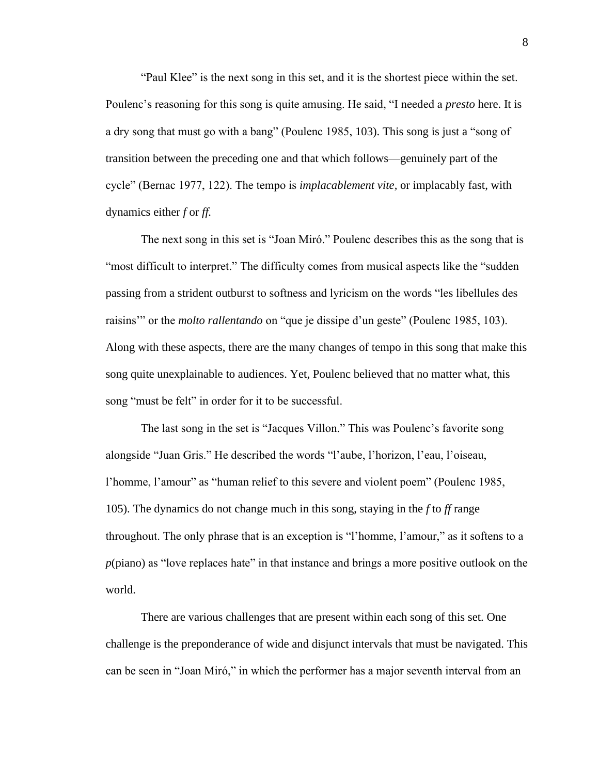"Paul Klee" is the next song in this set, and it is the shortest piece within the set. Poulenc's reasoning for this song is quite amusing. He said, "I needed a *presto* here. It is a dry song that must go with a bang" (Poulenc 1985, 103). This song is just a "song of transition between the preceding one and that which follows—genuinely part of the cycle" (Bernac 1977, 122). The tempo is *implacablement vite,* or implacably fast, with dynamics either *f* or *ff.* 

The next song in this set is "Joan Miró." Poulenc describes this as the song that is "most difficult to interpret." The difficulty comes from musical aspects like the "sudden passing from a strident outburst to softness and lyricism on the words "les libellules des raisins'" or the *molto rallentando* on "que je dissipe d'un geste" (Poulenc 1985, 103). Along with these aspects, there are the many changes of tempo in this song that make this song quite unexplainable to audiences. Yet, Poulenc believed that no matter what, this song "must be felt" in order for it to be successful.

The last song in the set is "Jacques Villon." This was Poulenc's favorite song alongside "Juan Gris." He described the words "l'aube, l'horizon, l'eau, l'oiseau, l'homme, l'amour" as "human relief to this severe and violent poem" (Poulenc 1985, 105). The dynamics do not change much in this song, staying in the *f* to *ff* range throughout. The only phrase that is an exception is "l'homme, l'amour," as it softens to a *p*(piano) as "love replaces hate" in that instance and brings a more positive outlook on the world.

There are various challenges that are present within each song of this set. One challenge is the preponderance of wide and disjunct intervals that must be navigated. This can be seen in "Joan Miró," in which the performer has a major seventh interval from an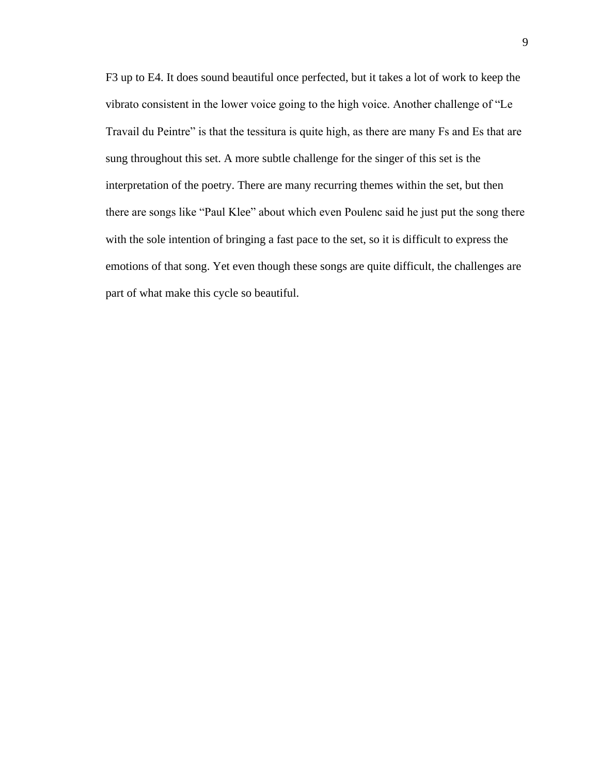F3 up to E4. It does sound beautiful once perfected, but it takes a lot of work to keep the vibrato consistent in the lower voice going to the high voice. Another challenge of "Le Travail du Peintre" is that the tessitura is quite high, as there are many Fs and Es that are sung throughout this set. A more subtle challenge for the singer of this set is the interpretation of the poetry. There are many recurring themes within the set, but then there are songs like "Paul Klee" about which even Poulenc said he just put the song there with the sole intention of bringing a fast pace to the set, so it is difficult to express the emotions of that song. Yet even though these songs are quite difficult, the challenges are part of what make this cycle so beautiful.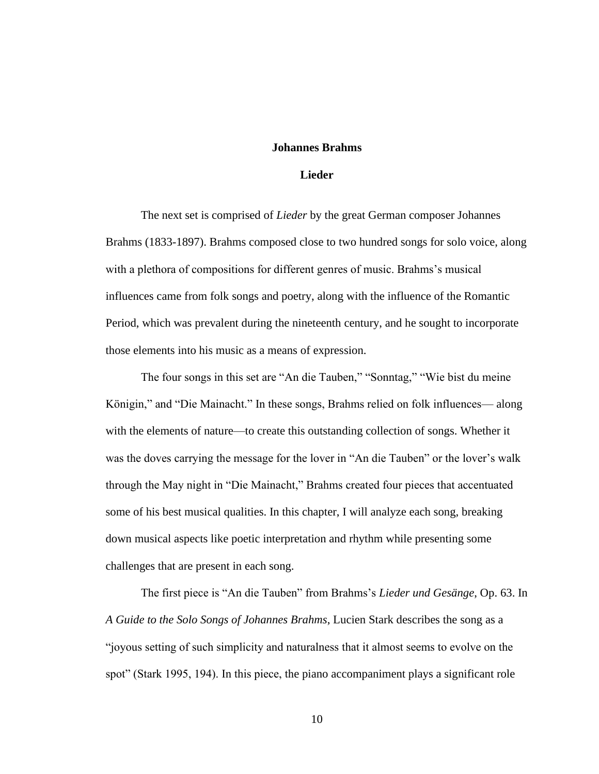### **Johannes Brahms**

## **Lieder**

The next set is comprised of *Lieder* by the great German composer Johannes Brahms (1833-1897). Brahms composed close to two hundred songs for solo voice, along with a plethora of compositions for different genres of music. Brahms's musical influences came from folk songs and poetry, along with the influence of the Romantic Period, which was prevalent during the nineteenth century, and he sought to incorporate those elements into his music as a means of expression.

The four songs in this set are "An die Tauben," "Sonntag," "Wie bist du meine Königin," and "Die Mainacht." In these songs, Brahms relied on folk influences— along with the elements of nature—to create this outstanding collection of songs. Whether it was the doves carrying the message for the lover in "An die Tauben" or the lover's walk through the May night in "Die Mainacht," Brahms created four pieces that accentuated some of his best musical qualities. In this chapter, I will analyze each song, breaking down musical aspects like poetic interpretation and rhythm while presenting some challenges that are present in each song.

The first piece is "An die Tauben" from Brahms's *Lieder und Gesänge*, Op. 63. In *A Guide to the Solo Songs of Johannes Brahms*, Lucien Stark describes the song as a "joyous setting of such simplicity and naturalness that it almost seems to evolve on the spot" (Stark 1995, 194). In this piece, the piano accompaniment plays a significant role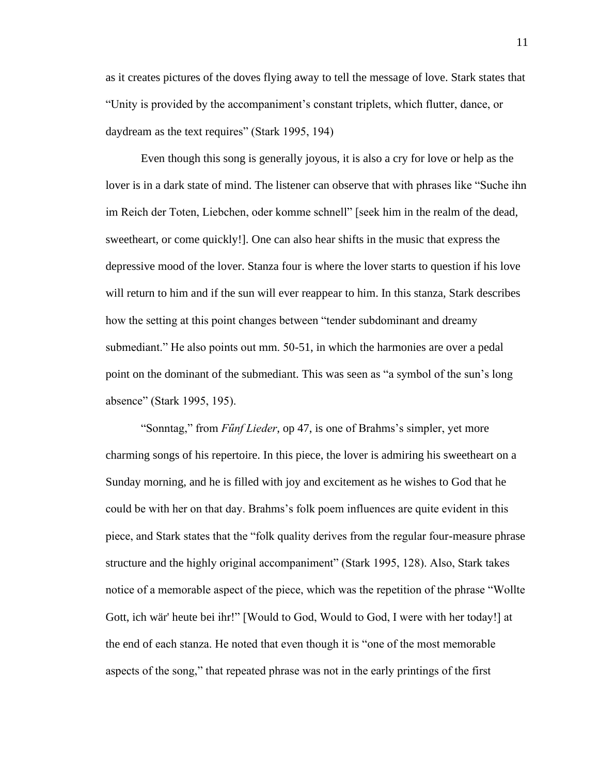as it creates pictures of the doves flying away to tell the message of love. Stark states that "Unity is provided by the accompaniment's constant triplets, which flutter, dance, or daydream as the text requires" (Stark 1995, 194)

Even though this song is generally joyous, it is also a cry for love or help as the lover is in a dark state of mind. The listener can observe that with phrases like "Suche ihn im Reich der Toten, Liebchen, oder komme schnell" [seek him in the realm of the dead, sweetheart, or come quickly!]. One can also hear shifts in the music that express the depressive mood of the lover. Stanza four is where the lover starts to question if his love will return to him and if the sun will ever reappear to him. In this stanza, Stark describes how the setting at this point changes between "tender subdominant and dreamy submediant." He also points out mm. 50-51, in which the harmonies are over a pedal point on the dominant of the submediant. This was seen as "a symbol of the sun's long absence" (Stark 1995, 195).

"Sonntag," from *Fűnf Lieder*, op 47, is one of Brahms's simpler, yet more charming songs of his repertoire. In this piece, the lover is admiring his sweetheart on a Sunday morning, and he is filled with joy and excitement as he wishes to God that he could be with her on that day. Brahms's folk poem influences are quite evident in this piece, and Stark states that the "folk quality derives from the regular four-measure phrase structure and the highly original accompaniment" (Stark 1995, 128). Also, Stark takes notice of a memorable aspect of the piece, which was the repetition of the phrase "Wollte Gott, ich wär' heute bei ihr!" [Would to God, Would to God, I were with her today!] at the end of each stanza. He noted that even though it is "one of the most memorable aspects of the song," that repeated phrase was not in the early printings of the first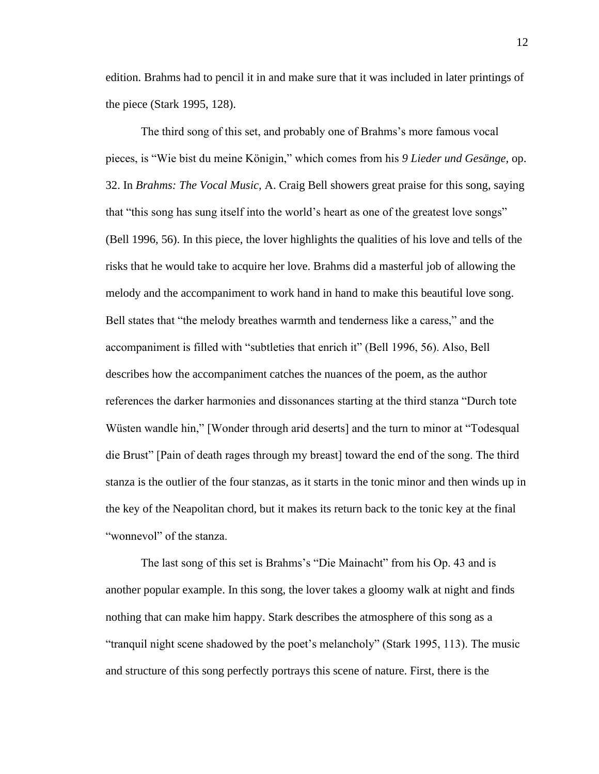edition. Brahms had to pencil it in and make sure that it was included in later printings of the piece (Stark 1995, 128).

The third song of this set, and probably one of Brahms's more famous vocal pieces, is "Wie bist du meine Königin," which comes from his *9 Lieder und Gesänge,* op. 32. In *Brahms: The Vocal Music*, A. Craig Bell showers great praise for this song, saying that "this song has sung itself into the world's heart as one of the greatest love songs" (Bell 1996, 56). In this piece, the lover highlights the qualities of his love and tells of the risks that he would take to acquire her love. Brahms did a masterful job of allowing the melody and the accompaniment to work hand in hand to make this beautiful love song. Bell states that "the melody breathes warmth and tenderness like a caress," and the accompaniment is filled with "subtleties that enrich it" (Bell 1996, 56). Also, Bell describes how the accompaniment catches the nuances of the poem, as the author references the darker harmonies and dissonances starting at the third stanza "Durch tote Wüsten wandle hin," [Wonder through arid deserts] and the turn to minor at "Todesqual die Brust" [Pain of death rages through my breast] toward the end of the song. The third stanza is the outlier of the four stanzas, as it starts in the tonic minor and then winds up in the key of the Neapolitan chord, but it makes its return back to the tonic key at the final "wonnevol" of the stanza.

The last song of this set is Brahms's "Die Mainacht" from his Op. 43 and is another popular example. In this song, the lover takes a gloomy walk at night and finds nothing that can make him happy. Stark describes the atmosphere of this song as a "tranquil night scene shadowed by the poet's melancholy" (Stark 1995, 113). The music and structure of this song perfectly portrays this scene of nature. First, there is the

12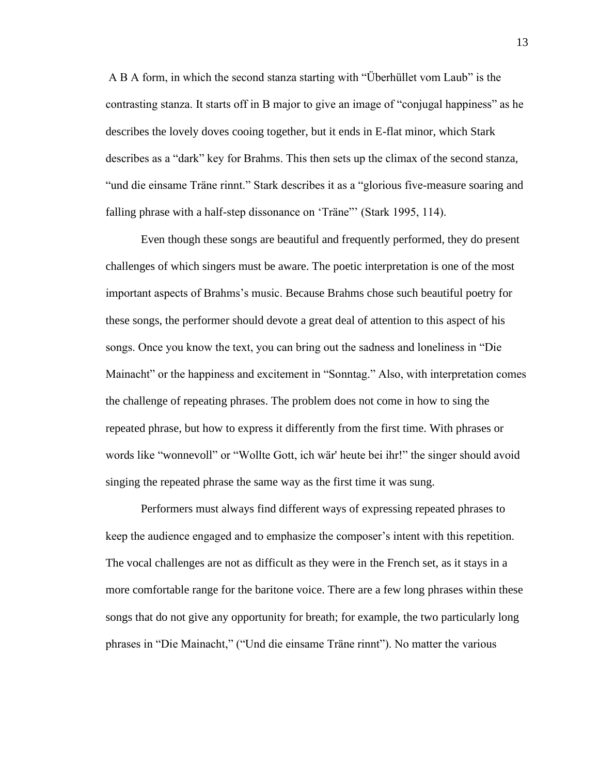A B A form, in which the second stanza starting with "Überhüllet vom Laub" is the contrasting stanza. It starts off in B major to give an image of "conjugal happiness" as he describes the lovely doves cooing together, but it ends in E-flat minor, which Stark describes as a "dark" key for Brahms. This then sets up the climax of the second stanza, "und die einsame Träne rinnt." Stark describes it as a "glorious five-measure soaring and falling phrase with a half-step dissonance on 'Träne"' (Stark 1995, 114).

Even though these songs are beautiful and frequently performed, they do present challenges of which singers must be aware. The poetic interpretation is one of the most important aspects of Brahms's music. Because Brahms chose such beautiful poetry for these songs, the performer should devote a great deal of attention to this aspect of his songs. Once you know the text, you can bring out the sadness and loneliness in "Die Mainacht" or the happiness and excitement in "Sonntag." Also, with interpretation comes the challenge of repeating phrases. The problem does not come in how to sing the repeated phrase, but how to express it differently from the first time. With phrases or words like "wonnevoll" or "Wollte Gott, ich wär' heute bei ihr!" the singer should avoid singing the repeated phrase the same way as the first time it was sung.

Performers must always find different ways of expressing repeated phrases to keep the audience engaged and to emphasize the composer's intent with this repetition. The vocal challenges are not as difficult as they were in the French set, as it stays in a more comfortable range for the baritone voice. There are a few long phrases within these songs that do not give any opportunity for breath; for example, the two particularly long phrases in "Die Mainacht," ("Und die einsame Träne rinnt"). No matter the various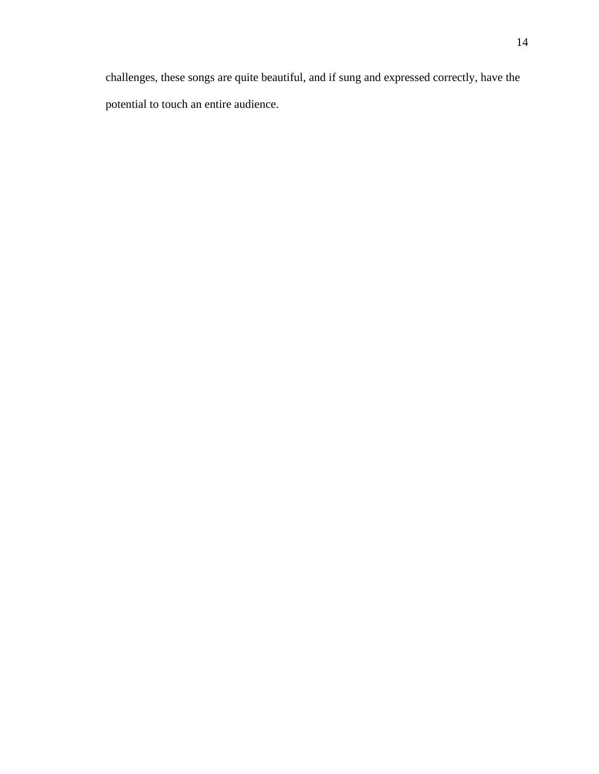challenges, these songs are quite beautiful, and if sung and expressed correctly, have the potential to touch an entire audience.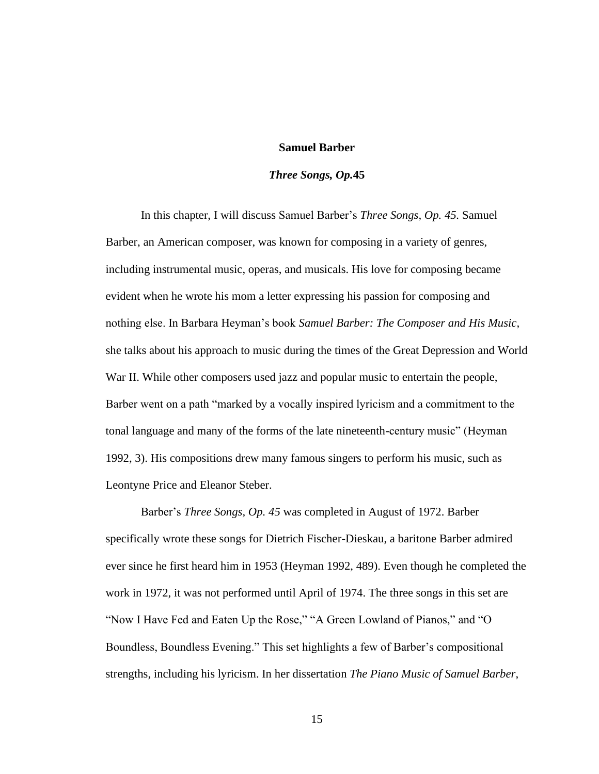### **Samuel Barber**

## *Three Songs, Op.***45**

In this chapter, I will discuss Samuel Barber's *Three Songs, Op. 45.* Samuel Barber, an American composer, was known for composing in a variety of genres, including instrumental music, operas, and musicals. His love for composing became evident when he wrote his mom a letter expressing his passion for composing and nothing else. In Barbara Heyman's book *Samuel Barber: The Composer and His Music,* she talks about his approach to music during the times of the Great Depression and World War II. While other composers used jazz and popular music to entertain the people, Barber went on a path "marked by a vocally inspired lyricism and a commitment to the tonal language and many of the forms of the late nineteenth-century music" (Heyman 1992, 3). His compositions drew many famous singers to perform his music, such as Leontyne Price and Eleanor Steber.

Barber's *Three Songs, Op. 45* was completed in August of 1972. Barber specifically wrote these songs for Dietrich Fischer-Dieskau, a baritone Barber admired ever since he first heard him in 1953 (Heyman 1992, 489). Even though he completed the work in 1972, it was not performed until April of 1974. The three songs in this set are "Now I Have Fed and Eaten Up the Rose," "A Green Lowland of Pianos," and "O Boundless, Boundless Evening." This set highlights a few of Barber's compositional strengths, including his lyricism. In her dissertation *The Piano Music of Samuel Barber*,

15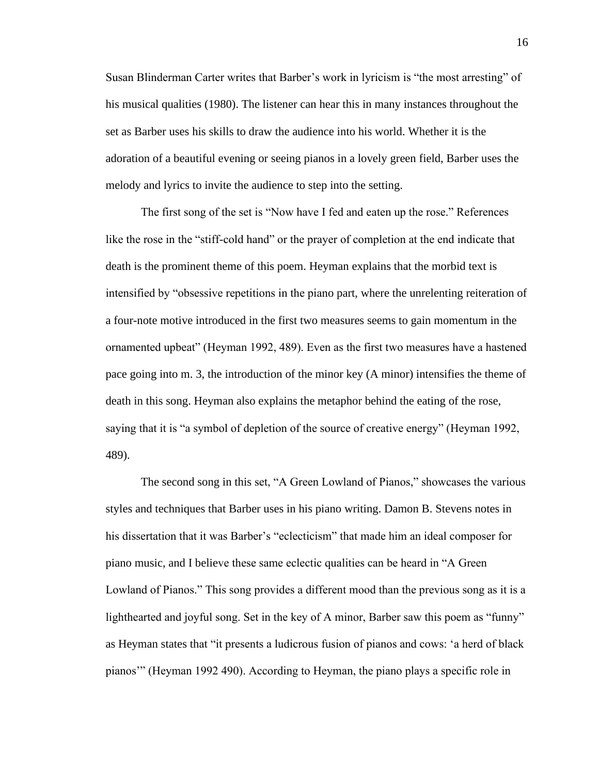Susan Blinderman Carter writes that Barber's work in lyricism is "the most arresting" of his musical qualities (1980). The listener can hear this in many instances throughout the set as Barber uses his skills to draw the audience into his world. Whether it is the adoration of a beautiful evening or seeing pianos in a lovely green field, Barber uses the melody and lyrics to invite the audience to step into the setting.

The first song of the set is "Now have I fed and eaten up the rose." References like the rose in the "stiff-cold hand" or the prayer of completion at the end indicate that death is the prominent theme of this poem. Heyman explains that the morbid text is intensified by "obsessive repetitions in the piano part, where the unrelenting reiteration of a four-note motive introduced in the first two measures seems to gain momentum in the ornamented upbeat" (Heyman 1992, 489). Even as the first two measures have a hastened pace going into m. 3, the introduction of the minor key (A minor) intensifies the theme of death in this song. Heyman also explains the metaphor behind the eating of the rose, saying that it is "a symbol of depletion of the source of creative energy" (Heyman 1992, 489).

The second song in this set, "A Green Lowland of Pianos," showcases the various styles and techniques that Barber uses in his piano writing. Damon B. Stevens notes in his dissertation that it was Barber's "eclecticism" that made him an ideal composer for piano music, and I believe these same eclectic qualities can be heard in "A Green Lowland of Pianos." This song provides a different mood than the previous song as it is a lighthearted and joyful song. Set in the key of A minor, Barber saw this poem as "funny" as Heyman states that "it presents a ludicrous fusion of pianos and cows: 'a herd of black pianos'" (Heyman 1992 490). According to Heyman, the piano plays a specific role in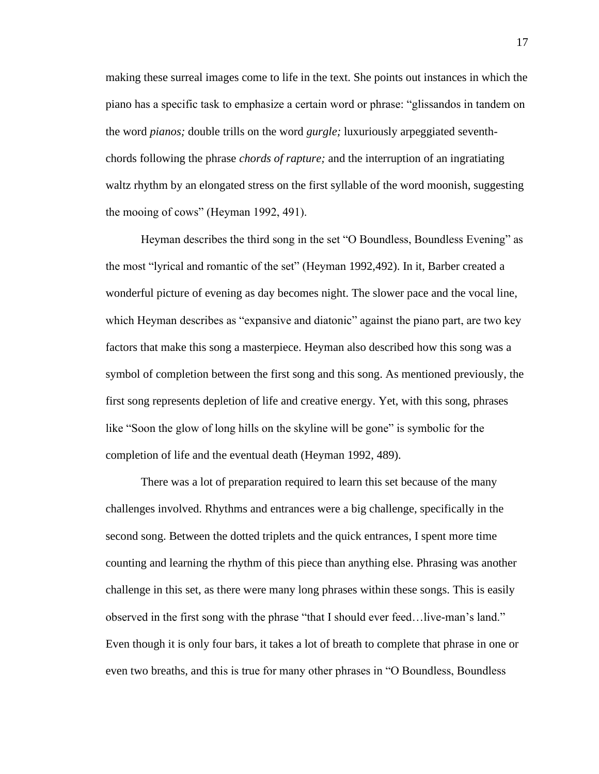making these surreal images come to life in the text. She points out instances in which the piano has a specific task to emphasize a certain word or phrase: "glissandos in tandem on the word *pianos;* double trills on the word *gurgle;* luxuriously arpeggiated seventhchords following the phrase *chords of rapture;* and the interruption of an ingratiating waltz rhythm by an elongated stress on the first syllable of the word moonish, suggesting the mooing of cows" (Heyman 1992, 491).

Heyman describes the third song in the set "O Boundless, Boundless Evening" as the most "lyrical and romantic of the set" (Heyman 1992,492). In it, Barber created a wonderful picture of evening as day becomes night. The slower pace and the vocal line, which Heyman describes as "expansive and diatonic" against the piano part, are two key factors that make this song a masterpiece. Heyman also described how this song was a symbol of completion between the first song and this song. As mentioned previously, the first song represents depletion of life and creative energy. Yet, with this song, phrases like "Soon the glow of long hills on the skyline will be gone" is symbolic for the completion of life and the eventual death (Heyman 1992, 489).

There was a lot of preparation required to learn this set because of the many challenges involved. Rhythms and entrances were a big challenge, specifically in the second song. Between the dotted triplets and the quick entrances, I spent more time counting and learning the rhythm of this piece than anything else. Phrasing was another challenge in this set, as there were many long phrases within these songs. This is easily observed in the first song with the phrase "that I should ever feed…live-man's land." Even though it is only four bars, it takes a lot of breath to complete that phrase in one or even two breaths, and this is true for many other phrases in "O Boundless, Boundless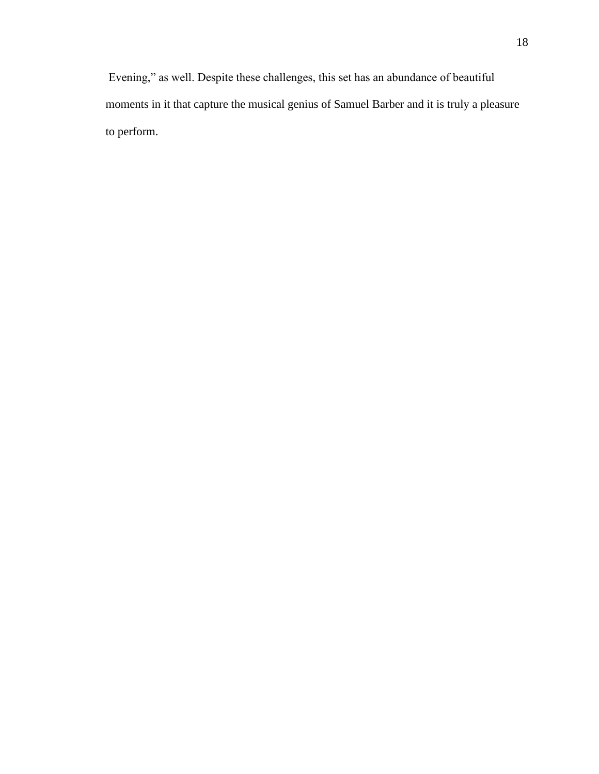Evening," as well. Despite these challenges, this set has an abundance of beautiful moments in it that capture the musical genius of Samuel Barber and it is truly a pleasure to perform.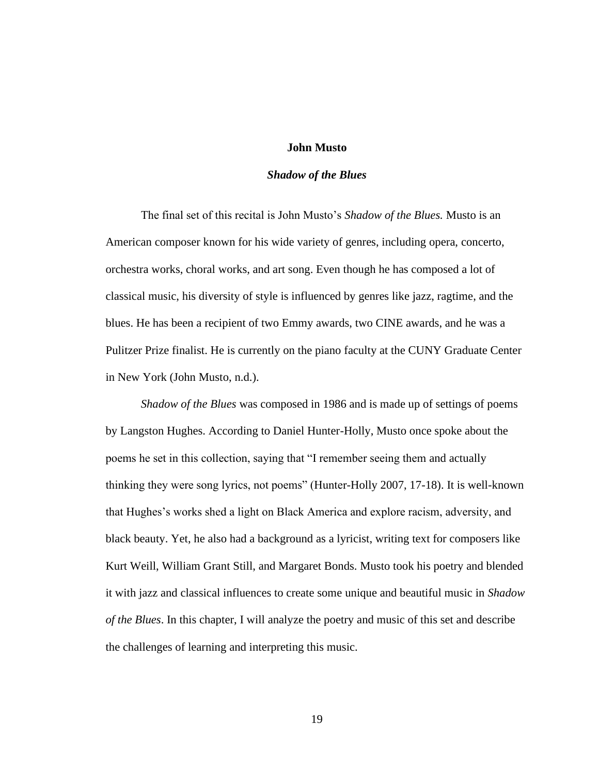## **John Musto**

### *Shadow of the Blues*

The final set of this recital is John Musto's *Shadow of the Blues.* Musto is an American composer known for his wide variety of genres, including opera, concerto, orchestra works, choral works, and art song. Even though he has composed a lot of classical music, his diversity of style is influenced by genres like jazz, ragtime, and the blues. He has been a recipient of two Emmy awards, two CINE awards, and he was a Pulitzer Prize finalist. He is currently on the piano faculty at the CUNY Graduate Center in New York (John Musto, n.d.).

*Shadow of the Blues* was composed in 1986 and is made up of settings of poems by Langston Hughes. According to Daniel Hunter-Holly, Musto once spoke about the poems he set in this collection, saying that "I remember seeing them and actually thinking they were song lyrics, not poems" (Hunter-Holly 2007, 17-18). It is well-known that Hughes's works shed a light on Black America and explore racism, adversity, and black beauty. Yet, he also had a background as a lyricist, writing text for composers like Kurt Weill, William Grant Still, and Margaret Bonds. Musto took his poetry and blended it with jazz and classical influences to create some unique and beautiful music in *Shadow of the Blues*. In this chapter, I will analyze the poetry and music of this set and describe the challenges of learning and interpreting this music.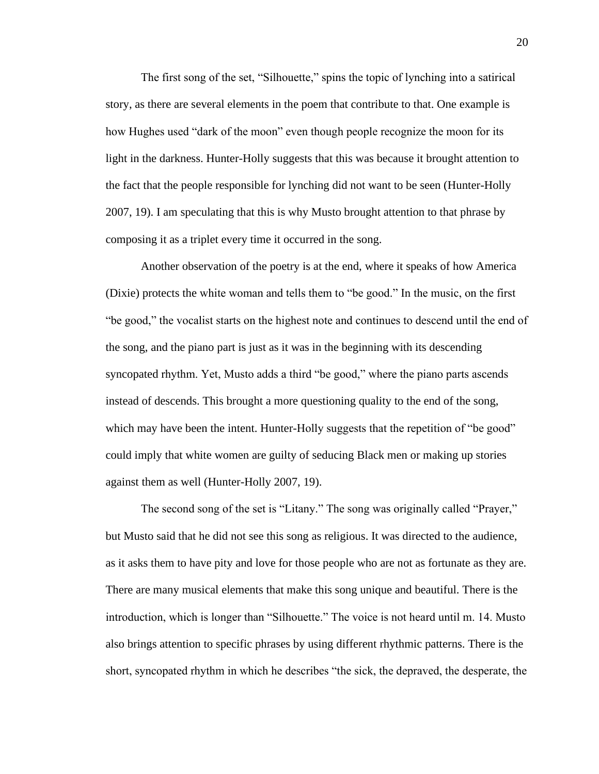The first song of the set, "Silhouette," spins the topic of lynching into a satirical story, as there are several elements in the poem that contribute to that. One example is how Hughes used "dark of the moon" even though people recognize the moon for its light in the darkness. Hunter-Holly suggests that this was because it brought attention to the fact that the people responsible for lynching did not want to be seen (Hunter-Holly 2007, 19). I am speculating that this is why Musto brought attention to that phrase by composing it as a triplet every time it occurred in the song.

Another observation of the poetry is at the end, where it speaks of how America (Dixie) protects the white woman and tells them to "be good." In the music, on the first "be good," the vocalist starts on the highest note and continues to descend until the end of the song, and the piano part is just as it was in the beginning with its descending syncopated rhythm. Yet, Musto adds a third "be good," where the piano parts ascends instead of descends. This brought a more questioning quality to the end of the song, which may have been the intent. Hunter-Holly suggests that the repetition of "be good" could imply that white women are guilty of seducing Black men or making up stories against them as well (Hunter-Holly 2007, 19).

The second song of the set is "Litany." The song was originally called "Prayer," but Musto said that he did not see this song as religious. It was directed to the audience, as it asks them to have pity and love for those people who are not as fortunate as they are. There are many musical elements that make this song unique and beautiful. There is the introduction, which is longer than "Silhouette." The voice is not heard until m. 14. Musto also brings attention to specific phrases by using different rhythmic patterns. There is the short, syncopated rhythm in which he describes "the sick, the depraved, the desperate, the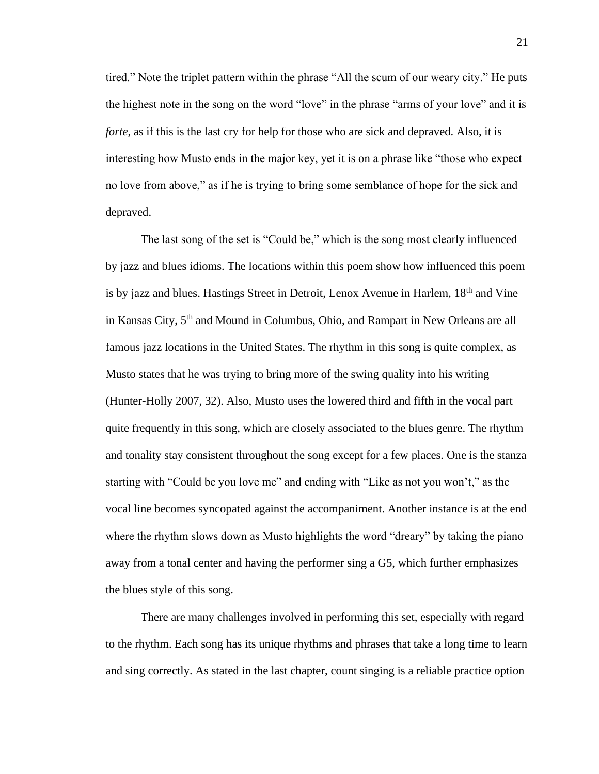tired." Note the triplet pattern within the phrase "All the scum of our weary city." He puts the highest note in the song on the word "love" in the phrase "arms of your love" and it is *forte*, as if this is the last cry for help for those who are sick and depraved. Also, it is interesting how Musto ends in the major key, yet it is on a phrase like "those who expect no love from above," as if he is trying to bring some semblance of hope for the sick and depraved.

The last song of the set is "Could be," which is the song most clearly influenced by jazz and blues idioms. The locations within this poem show how influenced this poem is by jazz and blues. Hastings Street in Detroit, Lenox Avenue in Harlem, 18<sup>th</sup> and Vine in Kansas City, 5<sup>th</sup> and Mound in Columbus, Ohio, and Rampart in New Orleans are all famous jazz locations in the United States. The rhythm in this song is quite complex, as Musto states that he was trying to bring more of the swing quality into his writing (Hunter-Holly 2007, 32). Also, Musto uses the lowered third and fifth in the vocal part quite frequently in this song, which are closely associated to the blues genre. The rhythm and tonality stay consistent throughout the song except for a few places. One is the stanza starting with "Could be you love me" and ending with "Like as not you won't," as the vocal line becomes syncopated against the accompaniment. Another instance is at the end where the rhythm slows down as Musto highlights the word "dreary" by taking the piano away from a tonal center and having the performer sing a G5, which further emphasizes the blues style of this song.

There are many challenges involved in performing this set, especially with regard to the rhythm. Each song has its unique rhythms and phrases that take a long time to learn and sing correctly. As stated in the last chapter, count singing is a reliable practice option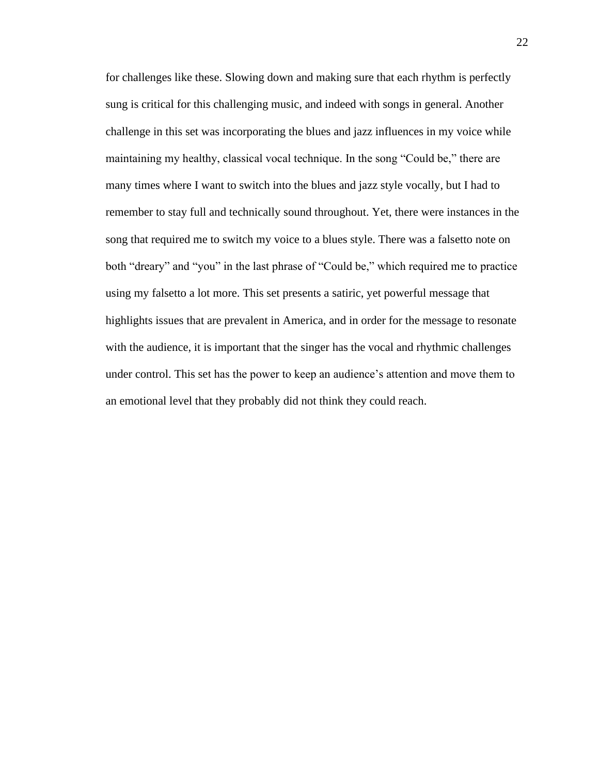for challenges like these. Slowing down and making sure that each rhythm is perfectly sung is critical for this challenging music, and indeed with songs in general. Another challenge in this set was incorporating the blues and jazz influences in my voice while maintaining my healthy, classical vocal technique. In the song "Could be," there are many times where I want to switch into the blues and jazz style vocally, but I had to remember to stay full and technically sound throughout. Yet, there were instances in the song that required me to switch my voice to a blues style. There was a falsetto note on both "dreary" and "you" in the last phrase of "Could be," which required me to practice using my falsetto a lot more. This set presents a satiric, yet powerful message that highlights issues that are prevalent in America, and in order for the message to resonate with the audience, it is important that the singer has the vocal and rhythmic challenges under control. This set has the power to keep an audience's attention and move them to an emotional level that they probably did not think they could reach.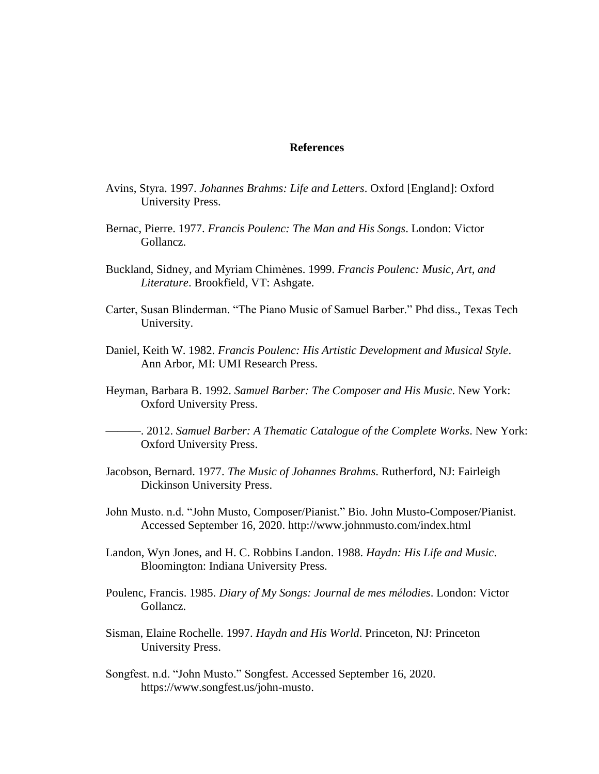### **References**

- Avins, Styra. 1997. *Johannes Brahms: Life and Letters*. Oxford [England]: Oxford University Press.
- Bernac, Pierre. 1977. *Francis Poulenc: The Man and His Songs*. London: Victor Gollancz.
- Buckland, Sidney, and Myriam Chimènes. 1999. *Francis Poulenc: Music, Art, and Literature*. Brookfield, VT: Ashgate.
- Carter, Susan Blinderman. "The Piano Music of Samuel Barber." Phd diss., Texas Tech University.
- Daniel, Keith W. 1982. *Francis Poulenc: His Artistic Development and Musical Style*. Ann Arbor, MI: UMI Research Press.
- Heyman, Barbara B. 1992. *Samuel Barber: The Composer and His Music*. New York: Oxford University Press.

———. 2012. *Samuel Barber: A Thematic Catalogue of the Complete Works*. New York: Oxford University Press.

- Jacobson, Bernard. 1977. *The Music of Johannes Brahms*. Rutherford, NJ: Fairleigh Dickinson University Press.
- John Musto. n.d. "John Musto, Composer/Pianist." Bio. John Musto-Composer/Pianist. Accessed September 16, 2020. http://www.johnmusto.com/index.html
- Landon, Wyn Jones, and H. C. Robbins Landon. 1988. *Haydn: His Life and Music*. Bloomington: Indiana University Press.
- Poulenc, Francis. 1985. *Diary of My Songs: Journal de mes mélodies*. London: Victor Gollancz.
- Sisman, Elaine Rochelle. 1997. *Haydn and His World*. Princeton, NJ: Princeton University Press.
- Songfest. n.d. "John Musto." Songfest. Accessed September 16, 2020. https://www.songfest.us/john-musto.